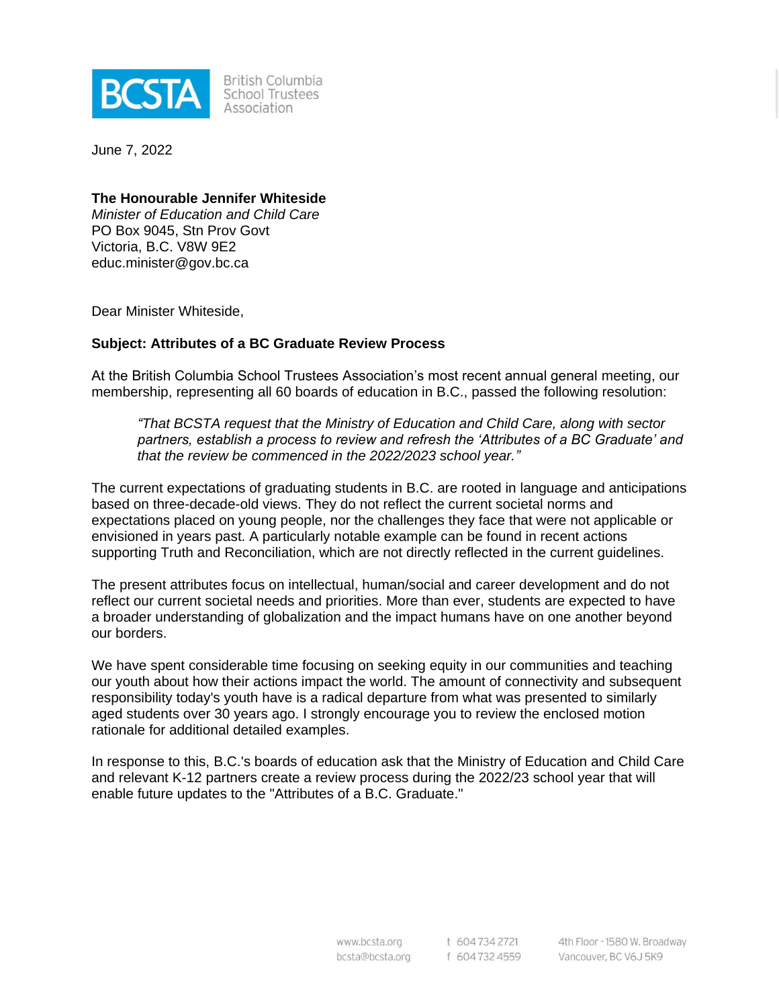

**British Columbia** School Trustees Association

June 7, 2022

#### **The Honourable Jennifer Whiteside**

*Minister of Education and Child Care* PO Box 9045, Stn Prov Govt Victoria, B.C. V8W 9E2 educ.minister@gov.bc.ca

Dear Minister Whiteside,

#### **Subject: Attributes of a BC Graduate Review Process**

At the British Columbia School Trustees Association's most recent annual general meeting, our membership, representing all 60 boards of education in B.C., passed the following resolution:

*"That BCSTA request that the Ministry of Education and Child Care, along with sector partners, establish a process to review and refresh the 'Attributes of a BC Graduate' and that the review be commenced in the 2022/2023 school year."*

The current expectations of graduating students in B.C. are rooted in language and anticipations based on three-decade-old views. They do not reflect the current societal norms and expectations placed on young people, nor the challenges they face that were not applicable or envisioned in years past. A particularly notable example can be found in recent actions supporting Truth and Reconciliation, which are not directly reflected in the current guidelines.

The present attributes focus on intellectual, human/social and career development and do not reflect our current societal needs and priorities. More than ever, students are expected to have a broader understanding of globalization and the impact humans have on one another beyond our borders.

We have spent considerable time focusing on seeking equity in our communities and teaching our youth about how their actions impact the world. The amount of connectivity and subsequent responsibility today's youth have is a radical departure from what was presented to similarly aged students over 30 years ago. I strongly encourage you to review the enclosed motion rationale for additional detailed examples.

In response to this, B.C.'s boards of education ask that the Ministry of Education and Child Care and relevant K-12 partners create a review process during the 2022/23 school year that will enable future updates to the "Attributes of a B.C. Graduate."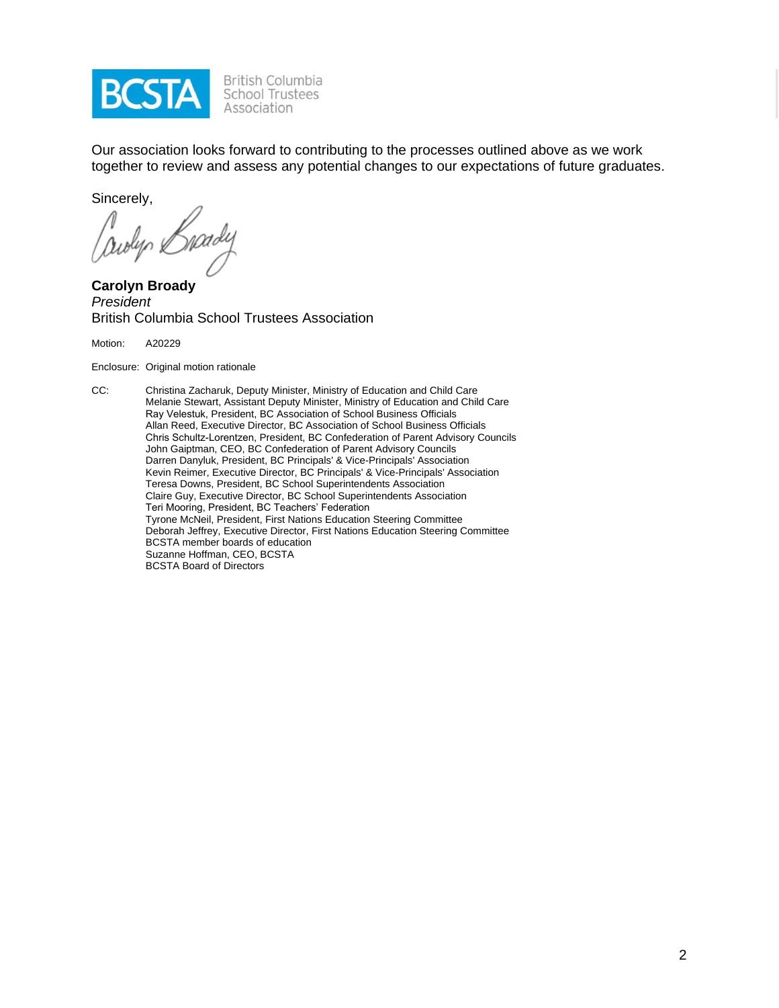

British Columbia<br>School Trustees Association

Our association looks forward to contributing to the processes outlined above as we work together to review and assess any potential changes to our expectations of future graduates.

Sincerely,

awlyn &

**Carolyn Broady** *President* British Columbia School Trustees Association

Motion: A20229

Enclosure: Original motion rationale

CC: Christina Zacharuk, Deputy Minister, Ministry of Education and Child Care Melanie Stewart, Assistant Deputy Minister, Ministry of Education and Child Care Ray Velestuk, President, BC Association of School Business Officials Allan Reed, Executive Director, BC Association of School Business Officials Chris Schultz-Lorentzen, President, BC Confederation of Parent Advisory Councils John Gaiptman, CEO, BC Confederation of Parent Advisory Councils Darren Danyluk, President, BC Principals' & Vice-Principals' Association Kevin Reimer, Executive Director, BC Principals' & Vice-Principals' Association Teresa Downs, President, BC School Superintendents Association Claire Guy, Executive Director, BC School Superintendents Association Teri Mooring, President, BC Teachers' Federation Tyrone McNeil, President, First Nations Education Steering Committee Deborah Jeffrey, Executive Director, First Nations Education Steering Committee BCSTA member boards of education Suzanne Hoffman, CEO, BCSTA BCSTA Board of Directors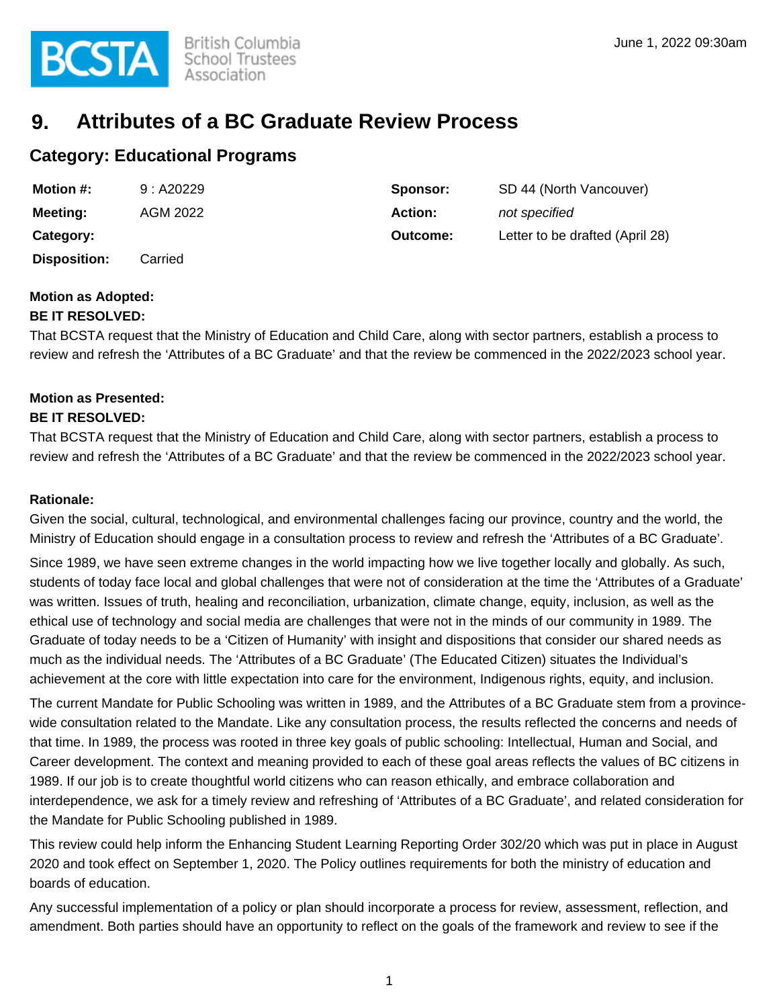

# **9. Attributes of a BC Graduate Review Process**

### **Category: Educational Programs**

| <b>Motion #:</b>    | 9: A20229 | Sponsor: | SD 44 (North Vancouver)         |
|---------------------|-----------|----------|---------------------------------|
| Meeting:            | AGM 2022  | Action:  | not specified                   |
| Category:           |           | Outcome: | Letter to be drafted (April 28) |
| <b>Disposition:</b> | Carried   |          |                                 |

## **Motion as Adopted:**

#### **BE IT RESOLVED:**

That BCSTA request that the Ministry of Education and Child Care, along with sector partners, establish a process to review and refresh the 'Attributes of a BC Graduate' and that the review be commenced in the 2022/2023 school year.

### **Motion as Presented:**

#### **BE IT RESOLVED:**

That BCSTA request that the Ministry of Education and Child Care, along with sector partners, establish a process to review and refresh the 'Attributes of a BC Graduate' and that the review be commenced in the 2022/2023 school year.

#### **Rationale:**

Given the social, cultural, technological, and environmental challenges facing our province, country and the world, the Ministry of Education should engage in a consultation process to review and refresh the 'Attributes of a BC Graduate'.

Since 1989, we have seen extreme changes in the world impacting how we live together locally and globally. As such, students of today face local and global challenges that were not of consideration at the time the 'Attributes of a Graduate' was written. Issues of truth, healing and reconciliation, urbanization, climate change, equity, inclusion, as well as the ethical use of technology and social media are challenges that were not in the minds of our community in 1989. The Graduate of today needs to be a 'Citizen of Humanity' with insight and dispositions that consider our shared needs as much as the individual needs. The 'Attributes of a BC Graduate' (The Educated Citizen) situates the Individual's achievement at the core with little expectation into care for the environment, Indigenous rights, equity, and inclusion.

The current Mandate for Public Schooling was written in 1989, and the Attributes of a BC Graduate stem from a provincewide consultation related to the Mandate. Like any consultation process, the results reflected the concerns and needs of that time. In 1989, the process was rooted in three key goals of public schooling: Intellectual, Human and Social, and Career development. The context and meaning provided to each of these goal areas reflects the values of BC citizens in 1989. If our job is to create thoughtful world citizens who can reason ethically, and embrace collaboration and interdependence, we ask for a timely review and refreshing of 'Attributes of a BC Graduate', and related consideration for the Mandate for Public Schooling published in 1989.

This review could help inform the Enhancing Student Learning Reporting Order 302/20 which was put in place in August 2020 and took effect on September 1, 2020. The Policy outlines requirements for both the ministry of education and boards of education.

Any successful implementation of a policy or plan should incorporate a process for review, assessment, reflection, and amendment. Both parties should have an opportunity to reflect on the goals of the framework and review to see if the